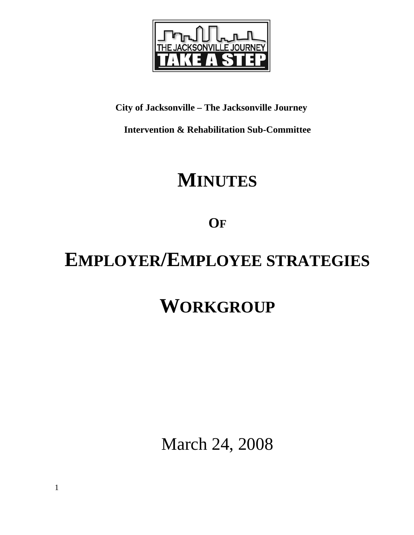

## **City of Jacksonville – The Jacksonville Journey**

**Intervention & Rehabilitation Sub-Committee** 

# **MINUTES**

**OF**

# **EMPLOYER/EMPLOYEE STRATEGIES**

# **WORKGROUP**

March 24, 2008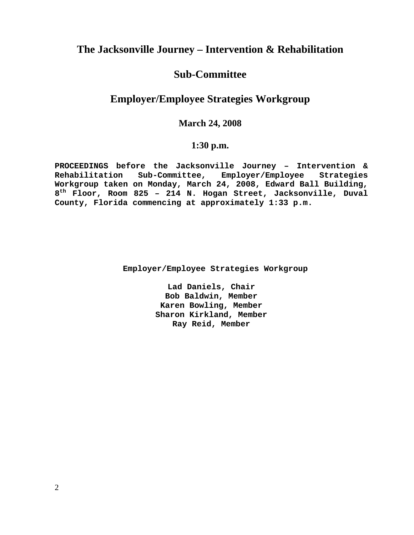## **The Jacksonville Journey – Intervention & Rehabilitation**

## **Sub-Committee**

## **Employer/Employee Strategies Workgroup**

## **March 24, 2008**

## **1:30 p.m.**

**PROCEEDINGS before the Jacksonville Journey – Intervention & Rehabilitation Sub-Committee, Employer/Employee Strategies Workgroup taken on Monday, March 24, 2008, Edward Ball Building, 8th Floor, Room 825 – 214 N. Hogan Street, Jacksonville, Duval County, Florida commencing at approximately 1:33 p.m.** 

 **Employer/Employee Strategies Workgroup** 

**Lad Daniels, Chair Bob Baldwin, Member Karen Bowling, Member Sharon Kirkland, Member Ray Reid, Member**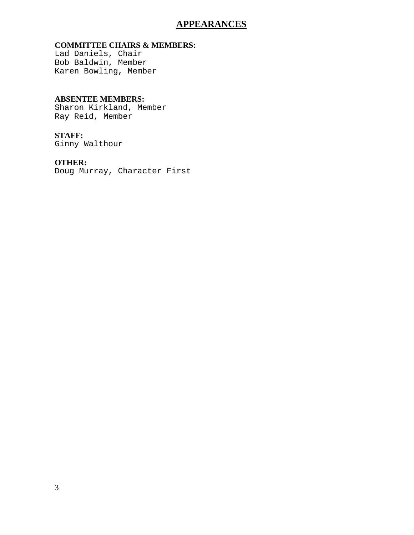## **APPEARANCES**

#### **COMMITTEE CHAIRS & MEMBERS:**

Lad Daniels, Chair Bob Baldwin, Member Karen Bowling, Member

#### **ABSENTEE MEMBERS:**

Sharon Kirkland, Member Ray Reid, Member

### **STAFF:**

Ginny Walthour

### **OTHER:**

Doug Murray, Character First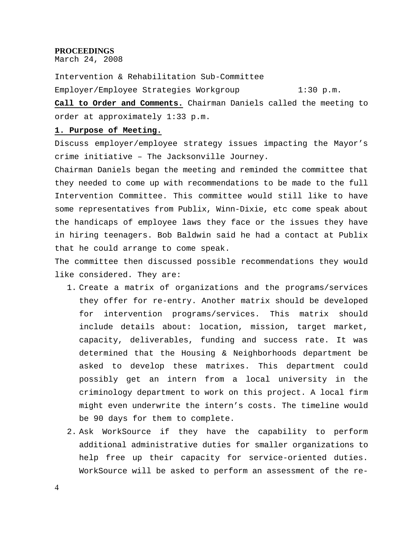#### **PROCEEDINGS**

March 24, 2008

Intervention & Rehabilitation Sub-Committee Employer/Employee Strategies Workgroup 1:30 p.m.

**Call to Order and Comments.** Chairman Daniels called the meeting to order at approximately 1:33 p.m.

#### **1. Purpose of Meeting.**

Discuss employer/employee strategy issues impacting the Mayor's crime initiative – The Jacksonville Journey.

Chairman Daniels began the meeting and reminded the committee that they needed to come up with recommendations to be made to the full Intervention Committee. This committee would still like to have some representatives from Publix, Winn-Dixie, etc come speak about the handicaps of employee laws they face or the issues they have in hiring teenagers. Bob Baldwin said he had a contact at Publix that he could arrange to come speak.

The committee then discussed possible recommendations they would like considered. They are:

- 1. Create a matrix of organizations and the programs/services they offer for re-entry. Another matrix should be developed for intervention programs/services. This matrix should include details about: location, mission, target market, capacity, deliverables, funding and success rate. It was determined that the Housing & Neighborhoods department be asked to develop these matrixes. This department could possibly get an intern from a local university in the criminology department to work on this project. A local firm might even underwrite the intern's costs. The timeline would be 90 days for them to complete.
- 2. Ask WorkSource if they have the capability to perform additional administrative duties for smaller organizations to help free up their capacity for service-oriented duties. WorkSource will be asked to perform an assessment of the re-

4